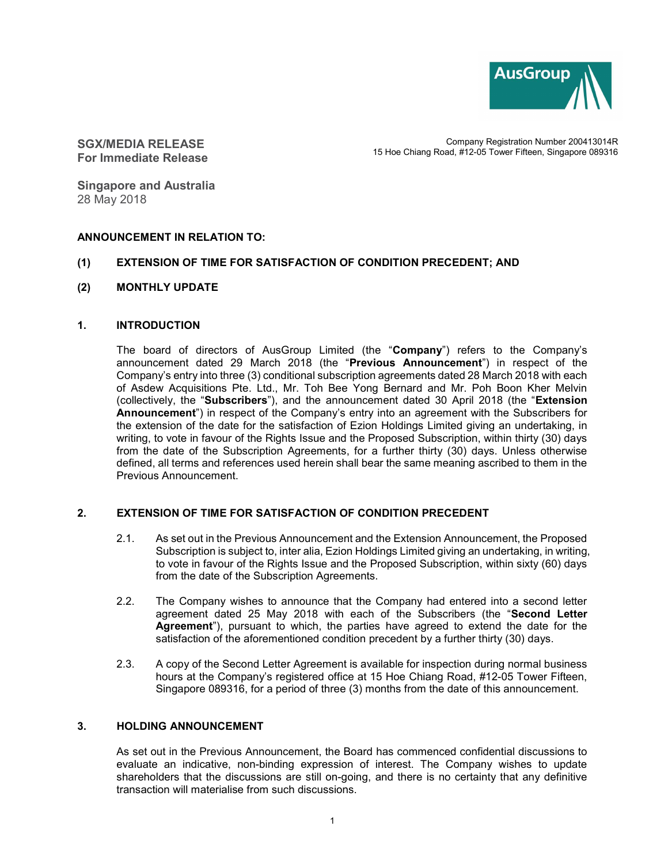

SGX/MEDIA RELEASE For Immediate Release

Company Registration Number 200413014R 15 Hoe Chiang Road, #12-05 Tower Fifteen, Singapore 089316

Singapore and Australia 28 May 2018

### ANNOUNCEMENT IN RELATION TO:

### (1) EXTENSION OF TIME FOR SATISFACTION OF CONDITION PRECEDENT; AND

(2) MONTHLY UPDATE

### 1. INTRODUCTION

The board of directors of AusGroup Limited (the "Company") refers to the Company's announcement dated 29 March 2018 (the "Previous Announcement") in respect of the Company's entry into three (3) conditional subscription agreements dated 28 March 2018 with each of Asdew Acquisitions Pte. Ltd., Mr. Toh Bee Yong Bernard and Mr. Poh Boon Kher Melvin (collectively, the "Subscribers"), and the announcement dated 30 April 2018 (the "Extension Announcement") in respect of the Company's entry into an agreement with the Subscribers for the extension of the date for the satisfaction of Ezion Holdings Limited giving an undertaking, in writing, to vote in favour of the Rights Issue and the Proposed Subscription, within thirty (30) days from the date of the Subscription Agreements, for a further thirty (30) days. Unless otherwise defined, all terms and references used herein shall bear the same meaning ascribed to them in the Previous Announcement.

### 2. EXTENSION OF TIME FOR SATISFACTION OF CONDITION PRECEDENT

- 2.1. As set out in the Previous Announcement and the Extension Announcement, the Proposed Subscription is subject to, inter alia, Ezion Holdings Limited giving an undertaking, in writing, to vote in favour of the Rights Issue and the Proposed Subscription, within sixty (60) days from the date of the Subscription Agreements.
- 2.2. The Company wishes to announce that the Company had entered into a second letter agreement dated 25 May 2018 with each of the Subscribers (the "Second Letter Agreement"), pursuant to which, the parties have agreed to extend the date for the satisfaction of the aforementioned condition precedent by a further thirty (30) days.
- 2.3. A copy of the Second Letter Agreement is available for inspection during normal business hours at the Company's registered office at 15 Hoe Chiang Road, #12-05 Tower Fifteen, Singapore 089316, for a period of three (3) months from the date of this announcement.

## 3. HOLDING ANNOUNCEMENT

As set out in the Previous Announcement, the Board has commenced confidential discussions to evaluate an indicative, non-binding expression of interest. The Company wishes to update shareholders that the discussions are still on-going, and there is no certainty that any definitive transaction will materialise from such discussions.